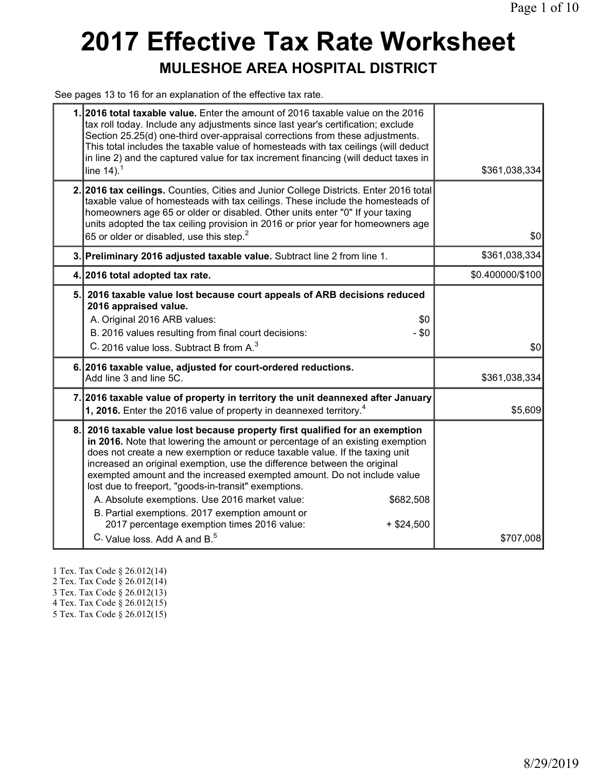# **2017 Effective Tax Rate Worksheet MULESHOE AREA HOSPITAL DISTRICT**

See pages 13 to 16 for an explanation of the effective tax rate.

|     | 1.2016 total taxable value. Enter the amount of 2016 taxable value on the 2016<br>tax roll today. Include any adjustments since last year's certification; exclude<br>Section 25.25(d) one-third over-appraisal corrections from these adjustments.<br>This total includes the taxable value of homesteads with tax ceilings (will deduct<br>in line 2) and the captured value for tax increment financing (will deduct taxes in<br>line $14$ ). <sup>1</sup>                                                                                                                                                                                                                         | \$361,038,334    |
|-----|---------------------------------------------------------------------------------------------------------------------------------------------------------------------------------------------------------------------------------------------------------------------------------------------------------------------------------------------------------------------------------------------------------------------------------------------------------------------------------------------------------------------------------------------------------------------------------------------------------------------------------------------------------------------------------------|------------------|
|     | 2. 2016 tax ceilings. Counties, Cities and Junior College Districts. Enter 2016 total<br>taxable value of homesteads with tax ceilings. These include the homesteads of<br>homeowners age 65 or older or disabled. Other units enter "0" If your taxing<br>units adopted the tax ceiling provision in 2016 or prior year for homeowners age<br>65 or older or disabled, use this step. $^2$                                                                                                                                                                                                                                                                                           | \$0              |
|     | 3. Preliminary 2016 adjusted taxable value. Subtract line 2 from line 1.                                                                                                                                                                                                                                                                                                                                                                                                                                                                                                                                                                                                              | \$361,038,334    |
|     | 4. 2016 total adopted tax rate.                                                                                                                                                                                                                                                                                                                                                                                                                                                                                                                                                                                                                                                       | \$0.400000/\$100 |
|     | 5. 2016 taxable value lost because court appeals of ARB decisions reduced<br>2016 appraised value.<br>A. Original 2016 ARB values:<br>\$0<br>B. 2016 values resulting from final court decisions:<br>$- $0$<br>C. 2016 value loss. Subtract B from A. <sup>3</sup>                                                                                                                                                                                                                                                                                                                                                                                                                    | 30               |
|     | 6. 2016 taxable value, adjusted for court-ordered reductions.<br>Add line 3 and line 5C.                                                                                                                                                                                                                                                                                                                                                                                                                                                                                                                                                                                              | \$361,038,334    |
|     | 7. 2016 taxable value of property in territory the unit deannexed after January<br>1, 2016. Enter the 2016 value of property in deannexed territory. <sup>4</sup>                                                                                                                                                                                                                                                                                                                                                                                                                                                                                                                     | \$5,609          |
| 8.1 | 2016 taxable value lost because property first qualified for an exemption<br>in 2016. Note that lowering the amount or percentage of an existing exemption<br>does not create a new exemption or reduce taxable value. If the taxing unit<br>increased an original exemption, use the difference between the original<br>exempted amount and the increased exempted amount. Do not include value<br>lost due to freeport, "goods-in-transit" exemptions.<br>A. Absolute exemptions. Use 2016 market value:<br>\$682,508<br>B. Partial exemptions. 2017 exemption amount or<br>2017 percentage exemption times 2016 value:<br>$+$ \$24,500<br>C. Value loss, Add A and B. <sup>5</sup> | \$707,008        |

1 Tex. Tax Code § 26.012(14)

- 2 Tex. Tax Code § 26.012(14)
- 3 Tex. Tax Code § 26.012(13)
- 4 Tex. Tax Code § 26.012(15)
- 5 Tex. Tax Code § 26.012(15)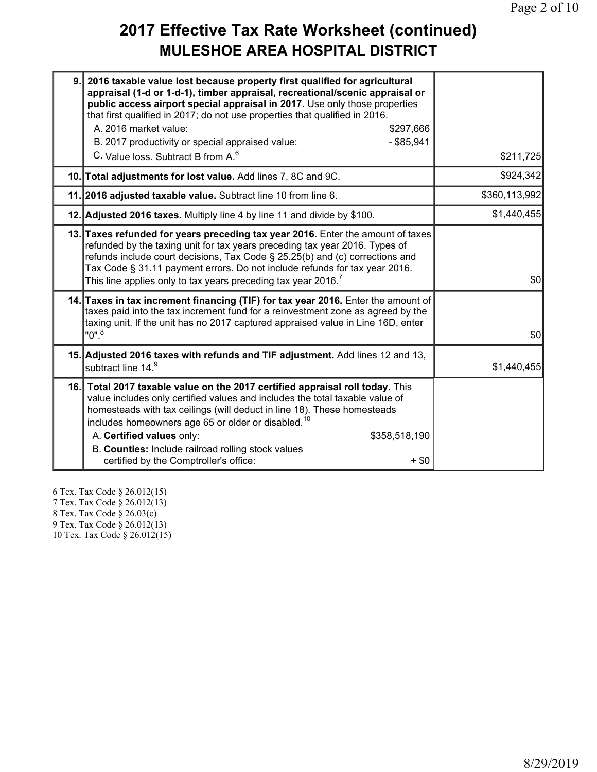#### **2017 Effective Tax Rate Worksheet (continued) MULESHOE AREA HOSPITAL DISTRICT**

| 9.1 | 2016 taxable value lost because property first qualified for agricultural<br>appraisal (1-d or 1-d-1), timber appraisal, recreational/scenic appraisal or                                                                                                                                                                    |               |
|-----|------------------------------------------------------------------------------------------------------------------------------------------------------------------------------------------------------------------------------------------------------------------------------------------------------------------------------|---------------|
|     | public access airport special appraisal in 2017. Use only those properties<br>that first qualified in 2017; do not use properties that qualified in 2016.                                                                                                                                                                    |               |
|     | A. 2016 market value:<br>\$297,666                                                                                                                                                                                                                                                                                           |               |
|     | B. 2017 productivity or special appraised value:<br>$-$ \$85,941                                                                                                                                                                                                                                                             |               |
|     | C. Value loss. Subtract B from A. <sup>6</sup>                                                                                                                                                                                                                                                                               | \$211,725     |
|     | 10. Total adjustments for lost value. Add lines 7, 8C and 9C.                                                                                                                                                                                                                                                                | \$924,342     |
|     | 11. 2016 adjusted taxable value. Subtract line 10 from line 6.                                                                                                                                                                                                                                                               | \$360,113,992 |
|     | 12. Adjusted 2016 taxes. Multiply line 4 by line 11 and divide by \$100.                                                                                                                                                                                                                                                     | \$1,440,455   |
|     | 13. Taxes refunded for years preceding tax year 2016. Enter the amount of taxes<br>refunded by the taxing unit for tax years preceding tax year 2016. Types of<br>refunds include court decisions, Tax Code § 25.25(b) and (c) corrections and<br>Tax Code § 31.11 payment errors. Do not include refunds for tax year 2016. |               |
|     | This line applies only to tax years preceding tax year 2016. <sup>7</sup>                                                                                                                                                                                                                                                    | \$0           |
|     | 14. Taxes in tax increment financing (TIF) for tax year 2016. Enter the amount of<br>taxes paid into the tax increment fund for a reinvestment zone as agreed by the<br>taxing unit. If the unit has no 2017 captured appraised value in Line 16D, enter                                                                     |               |
|     | $"0".^8$                                                                                                                                                                                                                                                                                                                     | \$0           |
|     | 15. Adjusted 2016 taxes with refunds and TIF adjustment. Add lines 12 and 13,                                                                                                                                                                                                                                                |               |
|     | subtract line 14.9                                                                                                                                                                                                                                                                                                           | \$1,440,455   |
|     | 16. Total 2017 taxable value on the 2017 certified appraisal roll today. This<br>value includes only certified values and includes the total taxable value of<br>homesteads with tax ceilings (will deduct in line 18). These homesteads<br>includes homeowners age 65 or older or disabled. <sup>10</sup>                   |               |
|     | A. Certified values only:<br>\$358,518,190<br>B. Counties: Include railroad rolling stock values<br>certified by the Comptroller's office:<br>$+$ \$0                                                                                                                                                                        |               |

6 Tex. Tax Code § 26.012(15) 7 Tex. Tax Code § 26.012(13) 8 Tex. Tax Code § 26.03(c) 9 Tex. Tax Code § 26.012(13) 10 Tex. Tax Code § 26.012(15)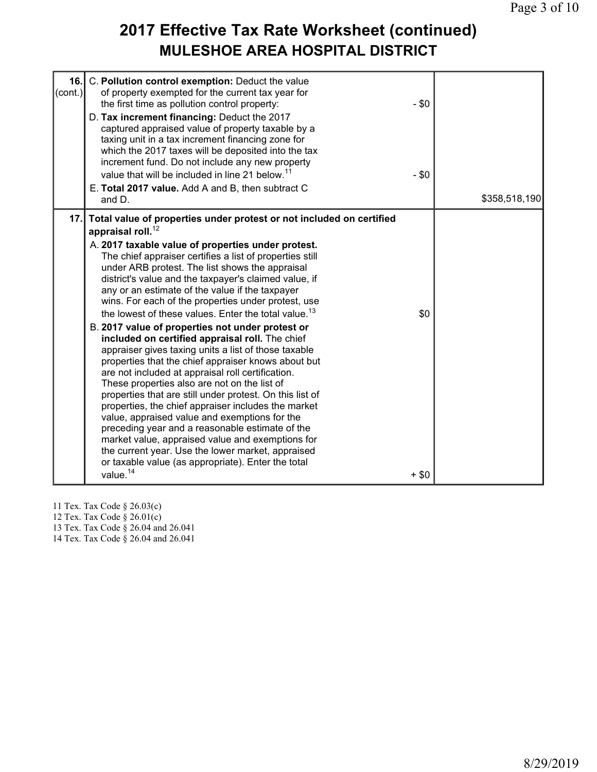### **2017 Effective Tax Rate Worksheet (continued) MULESHOE AREA HOSPITAL DISTRICT**

| 16.<br>(cont.) | C. Pollution control exemption: Deduct the value<br>of property exempted for the current tax year for<br>the first time as pollution control property:<br>D. Tax increment financing: Deduct the 2017<br>captured appraised value of property taxable by a<br>taxing unit in a tax increment financing zone for<br>which the 2017 taxes will be deposited into the tax<br>increment fund. Do not include any new property                                                                                                                                                                                                                                                                                                                                                                                                                                                                                                                                                                                                                                                                                                                                                    | $- $0$  |               |
|----------------|------------------------------------------------------------------------------------------------------------------------------------------------------------------------------------------------------------------------------------------------------------------------------------------------------------------------------------------------------------------------------------------------------------------------------------------------------------------------------------------------------------------------------------------------------------------------------------------------------------------------------------------------------------------------------------------------------------------------------------------------------------------------------------------------------------------------------------------------------------------------------------------------------------------------------------------------------------------------------------------------------------------------------------------------------------------------------------------------------------------------------------------------------------------------------|---------|---------------|
|                | value that will be included in line 21 below. <sup>11</sup>                                                                                                                                                                                                                                                                                                                                                                                                                                                                                                                                                                                                                                                                                                                                                                                                                                                                                                                                                                                                                                                                                                                  | $- $0$  |               |
|                | E. Total 2017 value. Add A and B, then subtract C                                                                                                                                                                                                                                                                                                                                                                                                                                                                                                                                                                                                                                                                                                                                                                                                                                                                                                                                                                                                                                                                                                                            |         |               |
|                | and D.                                                                                                                                                                                                                                                                                                                                                                                                                                                                                                                                                                                                                                                                                                                                                                                                                                                                                                                                                                                                                                                                                                                                                                       |         | \$358,518,190 |
| 17.1           | Total value of properties under protest or not included on certified<br>appraisal roll. <sup>12</sup><br>A. 2017 taxable value of properties under protest.<br>The chief appraiser certifies a list of properties still<br>under ARB protest. The list shows the appraisal<br>district's value and the taxpayer's claimed value, if<br>any or an estimate of the value if the taxpayer<br>wins. For each of the properties under protest, use<br>the lowest of these values. Enter the total value. <sup>13</sup><br>B. 2017 value of properties not under protest or<br>included on certified appraisal roll. The chief<br>appraiser gives taxing units a list of those taxable<br>properties that the chief appraiser knows about but<br>are not included at appraisal roll certification.<br>These properties also are not on the list of<br>properties that are still under protest. On this list of<br>properties, the chief appraiser includes the market<br>value, appraised value and exemptions for the<br>preceding year and a reasonable estimate of the<br>market value, appraised value and exemptions for<br>the current year. Use the lower market, appraised | \$0     |               |
|                | or taxable value (as appropriate). Enter the total<br>value. $14$                                                                                                                                                                                                                                                                                                                                                                                                                                                                                                                                                                                                                                                                                                                                                                                                                                                                                                                                                                                                                                                                                                            | $+$ \$0 |               |

11 Tex. Tax Code § 26.03(c)

12 Tex. Tax Code § 26.01(c)

13 Tex. Tax Code § 26.04 and 26.041

14 Tex. Tax Code § 26.04 and 26.041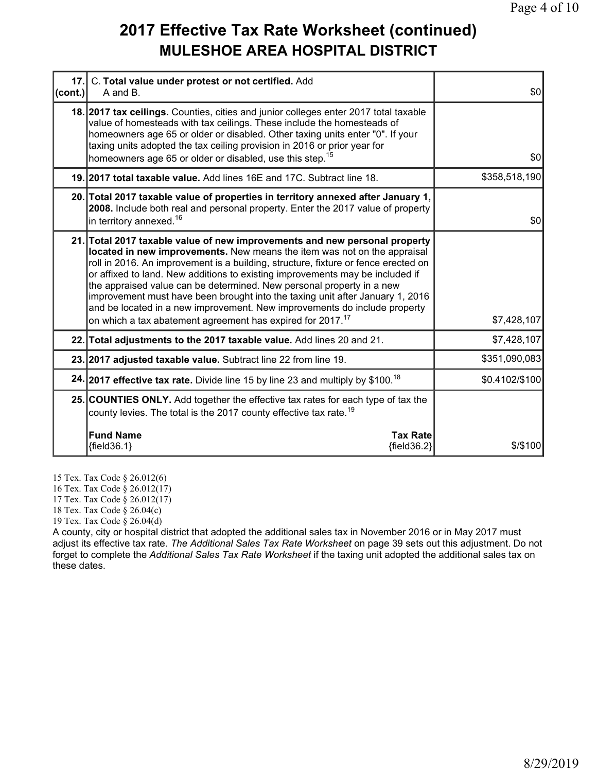#### **2017 Effective Tax Rate Worksheet (continued) MULESHOE AREA HOSPITAL DISTRICT**

| 17.<br>$ _{\text{(cont.)}} $ | C. Total value under protest or not certified. Add<br>A and B.                                                                                                                                                                                                                                                                                                                                                                                                                                                                                                                                                                                 | \$0              |
|------------------------------|------------------------------------------------------------------------------------------------------------------------------------------------------------------------------------------------------------------------------------------------------------------------------------------------------------------------------------------------------------------------------------------------------------------------------------------------------------------------------------------------------------------------------------------------------------------------------------------------------------------------------------------------|------------------|
|                              | 18. 2017 tax cellings. Counties, cities and junior colleges enter 2017 total taxable<br>value of homesteads with tax ceilings. These include the homesteads of<br>homeowners age 65 or older or disabled. Other taxing units enter "0". If your<br>taxing units adopted the tax ceiling provision in 2016 or prior year for<br>homeowners age 65 or older or disabled, use this step. <sup>15</sup>                                                                                                                                                                                                                                            | \$0              |
|                              | 19. 2017 total taxable value. Add lines 16E and 17C. Subtract line 18.                                                                                                                                                                                                                                                                                                                                                                                                                                                                                                                                                                         | \$358,518,190    |
|                              | 20. Total 2017 taxable value of properties in territory annexed after January 1,<br>2008. Include both real and personal property. Enter the 2017 value of property<br>in territory annexed. <sup>16</sup>                                                                                                                                                                                                                                                                                                                                                                                                                                     | \$0 <sub>1</sub> |
|                              | 21. Total 2017 taxable value of new improvements and new personal property<br>located in new improvements. New means the item was not on the appraisal<br>roll in 2016. An improvement is a building, structure, fixture or fence erected on<br>or affixed to land. New additions to existing improvements may be included if<br>the appraised value can be determined. New personal property in a new<br>improvement must have been brought into the taxing unit after January 1, 2016<br>and be located in a new improvement. New improvements do include property<br>on which a tax abatement agreement has expired for 2017. <sup>17</sup> | \$7,428,107      |
|                              | 22. Total adjustments to the 2017 taxable value. Add lines 20 and 21.                                                                                                                                                                                                                                                                                                                                                                                                                                                                                                                                                                          | \$7,428,107      |
|                              | 23. 2017 adjusted taxable value. Subtract line 22 from line 19.                                                                                                                                                                                                                                                                                                                                                                                                                                                                                                                                                                                | \$351,090,083    |
|                              | 24. 2017 effective tax rate. Divide line 15 by line 23 and multiply by \$100. <sup>18</sup>                                                                                                                                                                                                                                                                                                                                                                                                                                                                                                                                                    | \$0.4102/\$100   |
|                              | 25. COUNTIES ONLY. Add together the effective tax rates for each type of tax the<br>county levies. The total is the 2017 county effective tax rate. <sup>19</sup>                                                                                                                                                                                                                                                                                                                                                                                                                                                                              |                  |
|                              | <b>Fund Name</b><br><b>Tax Rate</b><br>${field36.1}$<br>${field36.2}$                                                                                                                                                                                                                                                                                                                                                                                                                                                                                                                                                                          | \$/\$100         |

15 Tex. Tax Code § 26.012(6)

16 Tex. Tax Code § 26.012(17)

17 Tex. Tax Code § 26.012(17)

18 Tex. Tax Code § 26.04(c)

19 Tex. Tax Code § 26.04(d)

A county, city or hospital district that adopted the additional sales tax in November 2016 or in May 2017 must adjust its effective tax rate. *The Additional Sales Tax Rate Worksheet* on page 39 sets out this adjustment. Do not forget to complete the *Additional Sales Tax Rate Worksheet* if the taxing unit adopted the additional sales tax on these dates.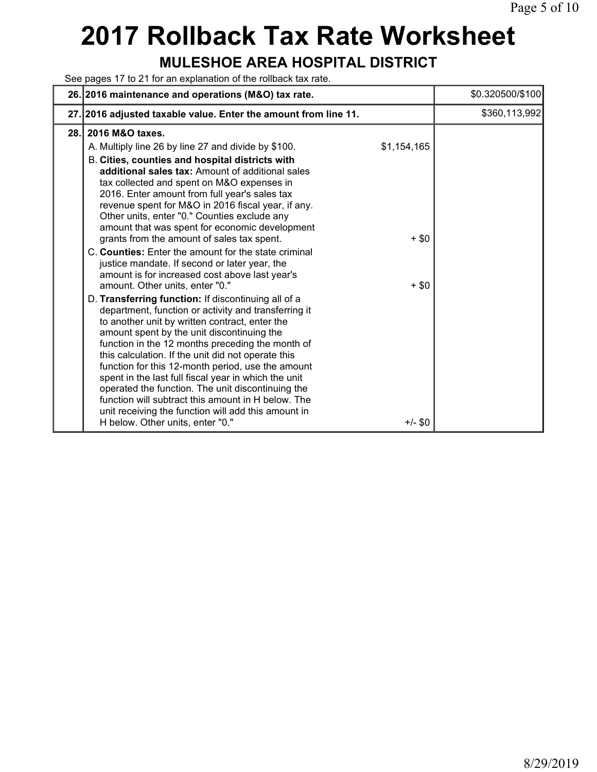# **2017 Rollback Tax Rate Worksheet**

#### **MULESHOE AREA HOSPITAL DISTRICT**

See pages 17 to 21 for an explanation of the rollback tax rate.

|      | 26. 2016 maintenance and operations (M&O) tax rate.                                                                                                                                                                                                                                                                                                                                                                                                                                                                                                                                                                                                                                                                                                                                                                                                                                                                                                                                                                                                                                                                                                                                                                                                                                                                          |                                               | \$0.320500/\$100 |
|------|------------------------------------------------------------------------------------------------------------------------------------------------------------------------------------------------------------------------------------------------------------------------------------------------------------------------------------------------------------------------------------------------------------------------------------------------------------------------------------------------------------------------------------------------------------------------------------------------------------------------------------------------------------------------------------------------------------------------------------------------------------------------------------------------------------------------------------------------------------------------------------------------------------------------------------------------------------------------------------------------------------------------------------------------------------------------------------------------------------------------------------------------------------------------------------------------------------------------------------------------------------------------------------------------------------------------------|-----------------------------------------------|------------------|
|      | 27. 2016 adjusted taxable value. Enter the amount from line 11.                                                                                                                                                                                                                                                                                                                                                                                                                                                                                                                                                                                                                                                                                                                                                                                                                                                                                                                                                                                                                                                                                                                                                                                                                                                              |                                               | \$360,113,992    |
| 28.1 | 2016 M&O taxes.<br>A. Multiply line 26 by line 27 and divide by \$100.<br>B. Cities, counties and hospital districts with<br>additional sales tax: Amount of additional sales<br>tax collected and spent on M&O expenses in<br>2016. Enter amount from full year's sales tax<br>revenue spent for M&O in 2016 fiscal year, if any.<br>Other units, enter "0." Counties exclude any<br>amount that was spent for economic development<br>grants from the amount of sales tax spent.<br>C. Counties: Enter the amount for the state criminal<br>justice mandate. If second or later year, the<br>amount is for increased cost above last year's<br>amount. Other units, enter "0."<br>D. Transferring function: If discontinuing all of a<br>department, function or activity and transferring it<br>to another unit by written contract, enter the<br>amount spent by the unit discontinuing the<br>function in the 12 months preceding the month of<br>this calculation. If the unit did not operate this<br>function for this 12-month period, use the amount<br>spent in the last full fiscal year in which the unit<br>operated the function. The unit discontinuing the<br>function will subtract this amount in H below. The<br>unit receiving the function will add this amount in<br>H below. Other units, enter "0." | \$1,154,165<br>$+$ \$0<br>$+ $0$<br>$+/-$ \$0 |                  |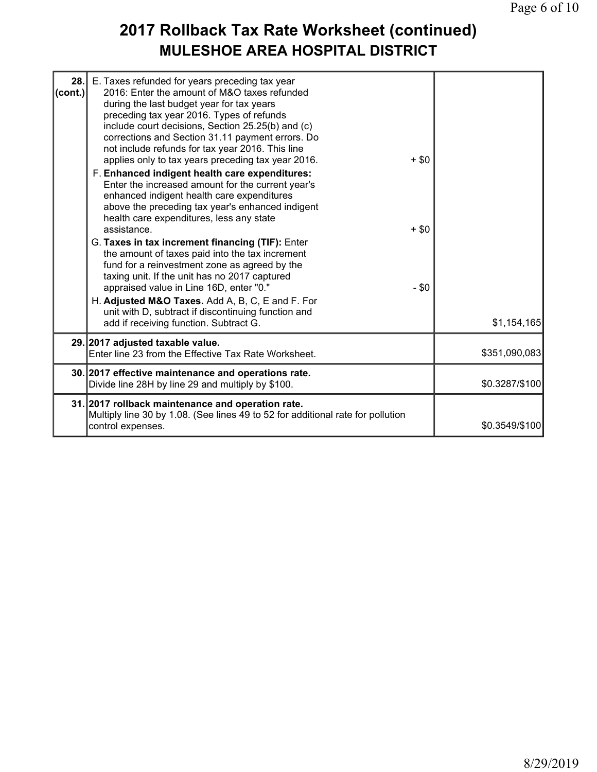### **2017 Rollback Tax Rate Worksheet (continued) MULESHOE AREA HOSPITAL DISTRICT**

| 28.<br>(cont.) | E. Taxes refunded for years preceding tax year<br>2016: Enter the amount of M&O taxes refunded<br>during the last budget year for tax years<br>preceding tax year 2016. Types of refunds<br>include court decisions, Section 25.25(b) and (c)<br>corrections and Section 31.11 payment errors. Do<br>not include refunds for tax year 2016. This line<br>applies only to tax years preceding tax year 2016.<br>F. Enhanced indigent health care expenditures:<br>Enter the increased amount for the current year's<br>enhanced indigent health care expenditures<br>above the preceding tax year's enhanced indigent<br>health care expenditures, less any state<br>assistance.<br>G. Taxes in tax increment financing (TIF): Enter<br>the amount of taxes paid into the tax increment<br>fund for a reinvestment zone as agreed by the<br>taxing unit. If the unit has no 2017 captured<br>appraised value in Line 16D, enter "0."<br>H. Adjusted M&O Taxes. Add A, B, C, E and F. For<br>unit with D, subtract if discontinuing function and<br>add if receiving function. Subtract G. | $+ $0$<br>$+ $0$<br>$- $0$ | \$1,154,165    |
|----------------|------------------------------------------------------------------------------------------------------------------------------------------------------------------------------------------------------------------------------------------------------------------------------------------------------------------------------------------------------------------------------------------------------------------------------------------------------------------------------------------------------------------------------------------------------------------------------------------------------------------------------------------------------------------------------------------------------------------------------------------------------------------------------------------------------------------------------------------------------------------------------------------------------------------------------------------------------------------------------------------------------------------------------------------------------------------------------------------|----------------------------|----------------|
|                | 29. 2017 adjusted taxable value.                                                                                                                                                                                                                                                                                                                                                                                                                                                                                                                                                                                                                                                                                                                                                                                                                                                                                                                                                                                                                                                         |                            |                |
|                | Enter line 23 from the Effective Tax Rate Worksheet.                                                                                                                                                                                                                                                                                                                                                                                                                                                                                                                                                                                                                                                                                                                                                                                                                                                                                                                                                                                                                                     |                            | \$351,090,083  |
|                | 30. 2017 effective maintenance and operations rate.<br>Divide line 28H by line 29 and multiply by \$100.                                                                                                                                                                                                                                                                                                                                                                                                                                                                                                                                                                                                                                                                                                                                                                                                                                                                                                                                                                                 |                            | \$0.3287/\$100 |
|                | 31. 2017 rollback maintenance and operation rate.<br>Multiply line 30 by 1.08. (See lines 49 to 52 for additional rate for pollution<br>control expenses.                                                                                                                                                                                                                                                                                                                                                                                                                                                                                                                                                                                                                                                                                                                                                                                                                                                                                                                                |                            | \$0.3549/\$100 |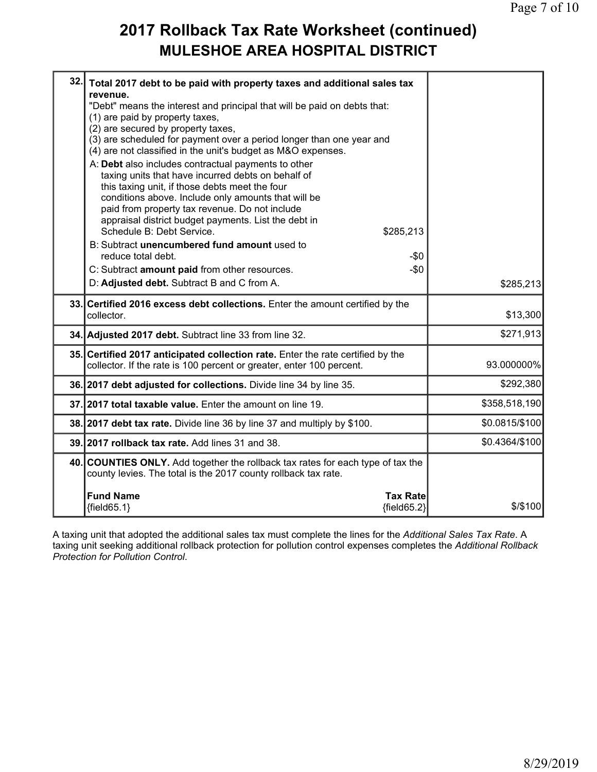#### **2017 Rollback Tax Rate Worksheet (continued) MULESHOE AREA HOSPITAL DISTRICT**

| 32.1 | Total 2017 debt to be paid with property taxes and additional sales tax<br>revenue.<br>"Debt" means the interest and principal that will be paid on debts that:<br>(1) are paid by property taxes,<br>(2) are secured by property taxes,<br>(3) are scheduled for payment over a period longer than one year and<br>(4) are not classified in the unit's budget as M&O expenses.<br>A: Debt also includes contractual payments to other<br>taxing units that have incurred debts on behalf of<br>this taxing unit, if those debts meet the four<br>conditions above. Include only amounts that will be<br>paid from property tax revenue. Do not include<br>appraisal district budget payments. List the debt in<br>Schedule B: Debt Service.<br>\$285,213<br>B: Subtract unencumbered fund amount used to<br>reduce total debt.<br>$-50$<br>C: Subtract amount paid from other resources.<br>$-50$<br>D: Adjusted debt. Subtract B and C from A. | \$285,213      |
|------|---------------------------------------------------------------------------------------------------------------------------------------------------------------------------------------------------------------------------------------------------------------------------------------------------------------------------------------------------------------------------------------------------------------------------------------------------------------------------------------------------------------------------------------------------------------------------------------------------------------------------------------------------------------------------------------------------------------------------------------------------------------------------------------------------------------------------------------------------------------------------------------------------------------------------------------------------|----------------|
|      | 33. Certified 2016 excess debt collections. Enter the amount certified by the<br>collector.                                                                                                                                                                                                                                                                                                                                                                                                                                                                                                                                                                                                                                                                                                                                                                                                                                                       | \$13,300       |
|      | 34. Adjusted 2017 debt. Subtract line 33 from line 32.                                                                                                                                                                                                                                                                                                                                                                                                                                                                                                                                                                                                                                                                                                                                                                                                                                                                                            | \$271,913      |
|      | 35. Certified 2017 anticipated collection rate. Enter the rate certified by the<br>collector. If the rate is 100 percent or greater, enter 100 percent.                                                                                                                                                                                                                                                                                                                                                                                                                                                                                                                                                                                                                                                                                                                                                                                           | 93.000000%     |
|      | 36. 2017 debt adjusted for collections. Divide line 34 by line 35.                                                                                                                                                                                                                                                                                                                                                                                                                                                                                                                                                                                                                                                                                                                                                                                                                                                                                | \$292,380      |
|      | 37. 2017 total taxable value. Enter the amount on line 19.                                                                                                                                                                                                                                                                                                                                                                                                                                                                                                                                                                                                                                                                                                                                                                                                                                                                                        | \$358,518,190  |
|      | 38. 2017 debt tax rate. Divide line 36 by line 37 and multiply by \$100.                                                                                                                                                                                                                                                                                                                                                                                                                                                                                                                                                                                                                                                                                                                                                                                                                                                                          | \$0.0815/\$100 |
|      | 39. 2017 rollback tax rate. Add lines 31 and 38.                                                                                                                                                                                                                                                                                                                                                                                                                                                                                                                                                                                                                                                                                                                                                                                                                                                                                                  | \$0.4364/\$100 |
|      | 40. COUNTIES ONLY. Add together the rollback tax rates for each type of tax the<br>county levies. The total is the 2017 county rollback tax rate.<br><b>Fund Name</b><br><b>Tax Rate</b>                                                                                                                                                                                                                                                                                                                                                                                                                                                                                                                                                                                                                                                                                                                                                          |                |
|      | ${fields 5.1}$<br>${fields2}$                                                                                                                                                                                                                                                                                                                                                                                                                                                                                                                                                                                                                                                                                                                                                                                                                                                                                                                     | \$/\$100       |

A taxing unit that adopted the additional sales tax must complete the lines for the *Additional Sales Tax Rate*. A taxing unit seeking additional rollback protection for pollution control expenses completes the *Additional Rollback Protection for Pollution Control*.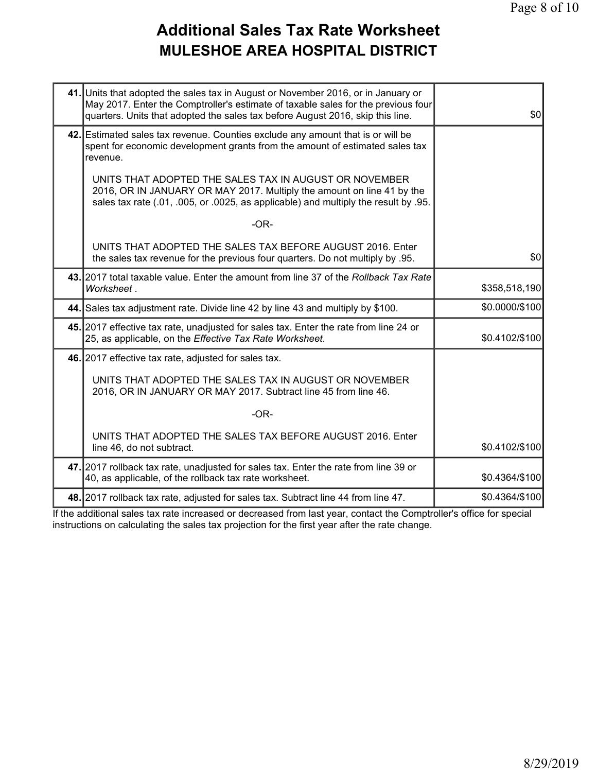## **Additional Sales Tax Rate Worksheet MULESHOE AREA HOSPITAL DISTRICT**

| 41. Units that adopted the sales tax in August or November 2016, or in January or<br>May 2017. Enter the Comptroller's estimate of taxable sales for the previous four<br>quarters. Units that adopted the sales tax before August 2016, skip this line. | \$0            |
|----------------------------------------------------------------------------------------------------------------------------------------------------------------------------------------------------------------------------------------------------------|----------------|
| 42. Estimated sales tax revenue. Counties exclude any amount that is or will be<br>spent for economic development grants from the amount of estimated sales tax<br>revenue.                                                                              |                |
| UNITS THAT ADOPTED THE SALES TAX IN AUGUST OR NOVEMBER<br>2016, OR IN JANUARY OR MAY 2017. Multiply the amount on line 41 by the<br>sales tax rate (.01, .005, or .0025, as applicable) and multiply the result by .95.                                  |                |
| $-OR-$                                                                                                                                                                                                                                                   |                |
| UNITS THAT ADOPTED THE SALES TAX BEFORE AUGUST 2016. Enter<br>the sales tax revenue for the previous four quarters. Do not multiply by .95.                                                                                                              | \$0            |
| 43. 2017 total taxable value. Enter the amount from line 37 of the Rollback Tax Rate<br>Worksheet.                                                                                                                                                       | \$358,518,190  |
| 44. Sales tax adjustment rate. Divide line 42 by line 43 and multiply by \$100.                                                                                                                                                                          | \$0.0000/\$100 |
| 45. 2017 effective tax rate, unadjusted for sales tax. Enter the rate from line 24 or<br>25, as applicable, on the Effective Tax Rate Worksheet.                                                                                                         | \$0.4102/\$100 |
| 46. 2017 effective tax rate, adjusted for sales tax.                                                                                                                                                                                                     |                |
| UNITS THAT ADOPTED THE SALES TAX IN AUGUST OR NOVEMBER<br>2016, OR IN JANUARY OR MAY 2017. Subtract line 45 from line 46.                                                                                                                                |                |
| $-OR-$                                                                                                                                                                                                                                                   |                |
| UNITS THAT ADOPTED THE SALES TAX BEFORE AUGUST 2016. Enter<br>line 46, do not subtract.                                                                                                                                                                  | \$0.4102/\$100 |
| 47. 2017 rollback tax rate, unadjusted for sales tax. Enter the rate from line 39 or<br>40, as applicable, of the rollback tax rate worksheet.                                                                                                           | \$0.4364/\$100 |
| 48. 2017 rollback tax rate, adjusted for sales tax. Subtract line 44 from line 47.                                                                                                                                                                       | \$0.4364/\$100 |

If the additional sales tax rate increased or decreased from last year, contact the Comptroller's office for special instructions on calculating the sales tax projection for the first year after the rate change.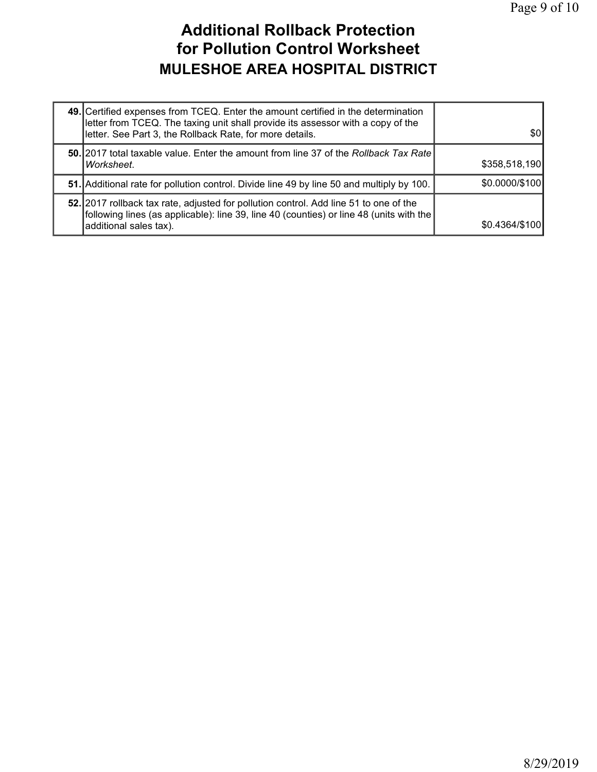### **Additional Rollback Protection for Pollution Control Worksheet MULESHOE AREA HOSPITAL DISTRICT**

| 49. Certified expenses from TCEQ. Enter the amount certified in the determination<br>letter from TCEQ. The taxing unit shall provide its assessor with a copy of the<br>letter. See Part 3, the Rollback Rate, for more details. | \$01           |
|----------------------------------------------------------------------------------------------------------------------------------------------------------------------------------------------------------------------------------|----------------|
| 50. 2017 total taxable value. Enter the amount from line 37 of the Rollback Tax Rate<br>Worksheet.                                                                                                                               | \$358,518,190  |
| 51. Additional rate for pollution control. Divide line 49 by line 50 and multiply by 100.                                                                                                                                        | \$0.0000/\$100 |
| 52. 2017 rollback tax rate, adjusted for pollution control. Add line 51 to one of the<br>following lines (as applicable): line 39, line 40 (counties) or line 48 (units with the<br>additional sales tax).                       | \$0.4364/\$100 |